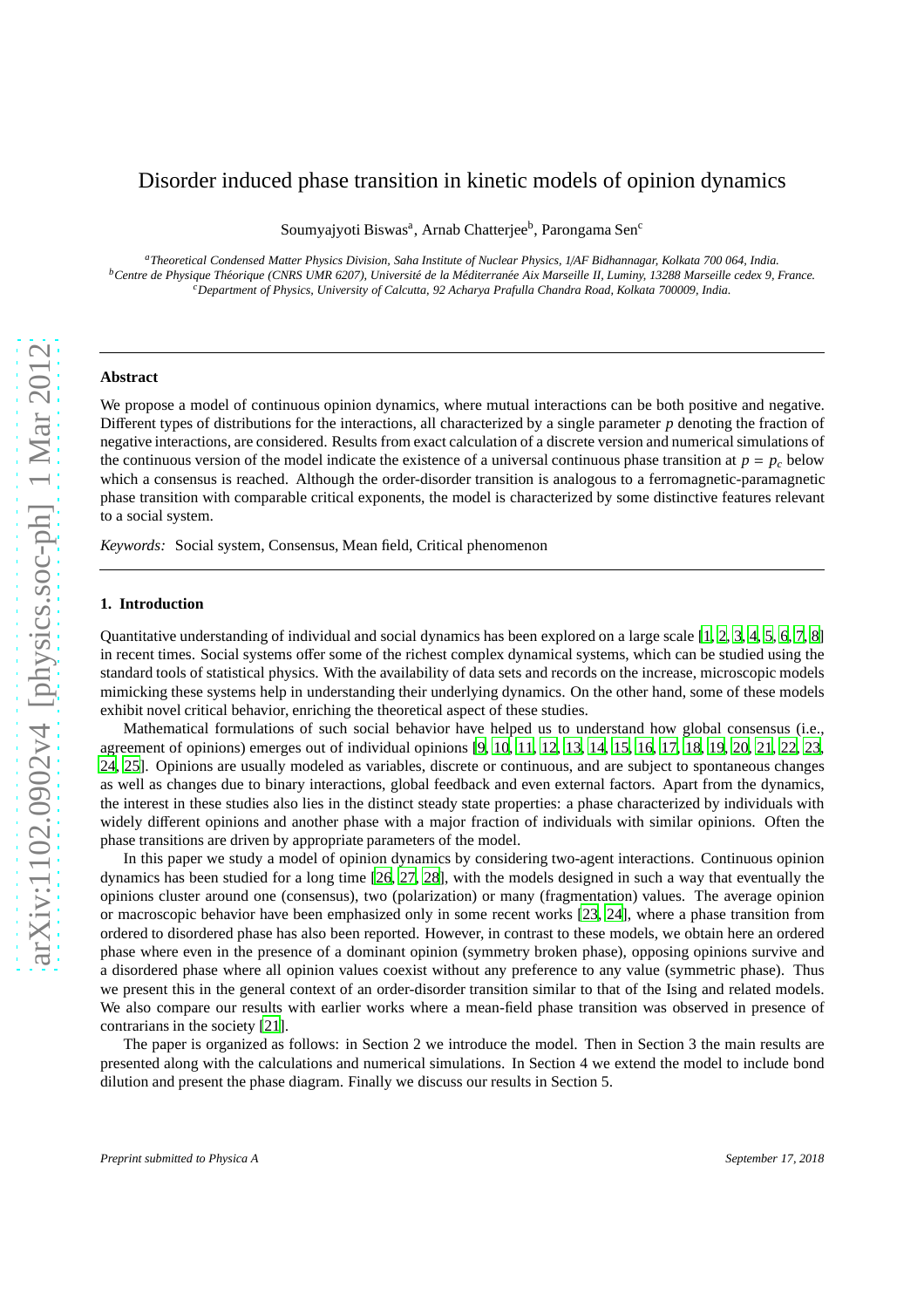# Disorder induced phase transition in kinetic models of opinion dynamics

Soumyajyoti Biswas<sup>a</sup>, Arnab Chatterjee<sup>b</sup>, Parongama Sen<sup>c</sup>

*<sup>a</sup>Theoretical Condensed Matter Physics Division, Saha Institute of Nuclear Physics, 1*/*AF Bidhannagar, Kolkata 700 064, India.* <sup>*b*</sup> Centre de Physique Théorique (CNRS UMR 6207), Université de la Méditerranée Aix Marseille II, Luminy, 13288 Marseille cedex 9, France. *<sup>c</sup>Department of Physics, University of Calcutta, 92 Acharya Prafulla Chandra Road, Kolkata 700009, India.*

### **Abstract**

We propose a model of continuous opinion dynamics, where mutual interactions can be both positive and negative. Different types of distributions for the interactions, all characterized by a single parameter  $p$  denoting the fraction of negative interactions, are considered. Results from exact calculation of a discrete version and numerical simulations of the continuous version of the model indicate the existence of a universal continuous phase transition at  $p = p_c$  below which a consensus is reached. Although the order-disorder transition is analogous to a ferromagnetic-paramagnetic phase transition with comparable critical exponents, the model is characterized by some distinctive features relevant to a social system.

*Keywords:* Social system, Consensus, Mean field, Critical phenomenon

## **1. Introduction**

Quantitative understanding of individual and social dynamics has been explored on a large scale [\[1,](#page-8-0) [2,](#page-8-1) [3,](#page-8-2) [4,](#page-8-3) [5,](#page-8-4) [6,](#page-8-5) [7,](#page-8-6) [8\]](#page-8-7) in recent times. Social systems offer some of the richest complex dynamical systems, which can be studied using the standard tools of statistical physics. With the availability of data sets and records on the increase, microscopic models mimicking these systems help in understanding their underlying dynamics. On the other hand, some of these models exhibit novel critical behavior, enriching the theoretical aspect of these studies.

Mathematical formulations of such social behavior have helped us to understand how global consensus (i.e., agreement of opinions) emerges out of individual opinions [\[9,](#page-8-8) [10,](#page-8-9) [11](#page-8-10), [12,](#page-8-11) [13](#page-8-12), [14,](#page-8-13) [15,](#page-8-14) [16](#page-8-15), [17,](#page-8-16) [18](#page-8-17), [19,](#page-8-18) [20](#page-8-19), [21,](#page-8-20) [22,](#page-8-21) [23](#page-8-22), [24,](#page-9-0) [25](#page-9-1)]. Opinions are usually modeled as variables, discrete or continuous, and are subject to spontaneous changes as well as changes due to binary interactions, global feedback and even external factors. Apart from the dynamics, the interest in these studies also lies in the distinct steady state properties: a phase characterized by individuals with widely different opinions and another phase with a major fraction of individuals with similar opinions. Often the phase transitions are driven by appropriate parameters of the model.

In this paper we study a model of opinion dynamics by considering two-agent interactions. Continuous opinion dynamics has been studied for a long time [\[26](#page-9-2), [27,](#page-9-3) [28\]](#page-9-4), with the models designed in such a way that eventually the opinions cluster around one (consensus), two (polarization) or many (fragmentation) values. The average opinion or macroscopic behavior have been emphasized only in some recent works [\[23](#page-8-22), [24\]](#page-9-0), where a phase transition from ordered to disordered phase has also been reported. However, in contrast to these models, we obtain here an ordered phase where even in the presence of a dominant opinion (symmetry broken phase), opposing opinions survive and a disordered phase where all opinion values coexist without any preference to any value (symmetric phase). Thus we present this in the general context of an order-disorder transition similar to that of the Ising and related models. We also compare our results with earlier works where a mean-field phase transition was observed in presence of contrarians in the society [\[21](#page-8-20)].

The paper is organized as follows: in Section 2 we introduce the model. Then in Section 3 the main results are presented along with the calculations and numerical simulations. In Section 4 we extend the model to include bond dilution and present the phase diagram. Finally we discuss our results in Section 5.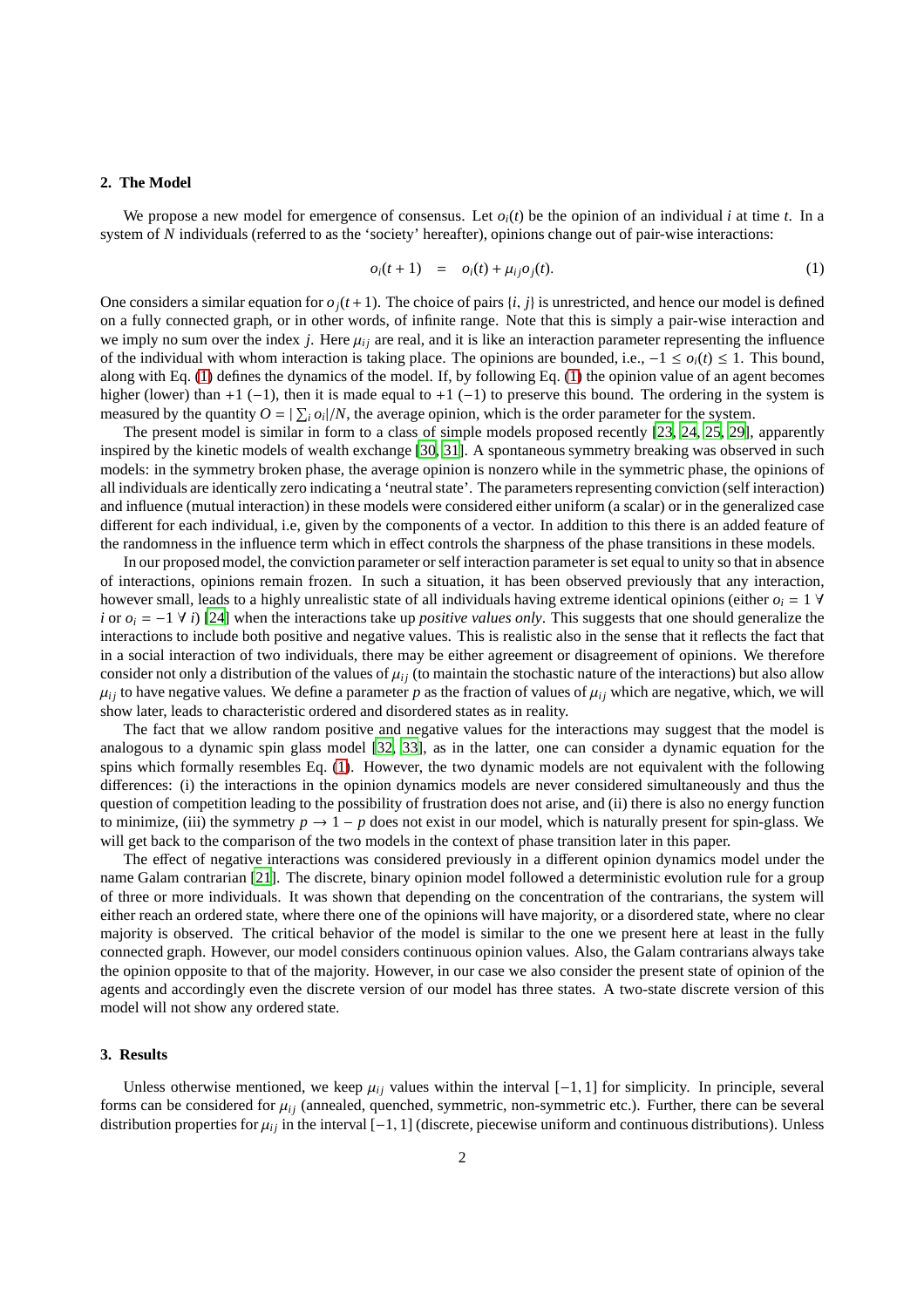## **2. The Model**

We propose a new model for emergence of consensus. Let  $o_i(t)$  be the opinion of an individual *i* at time *t*. In a system of N individuals (referred to as the 'society' hereafter), opinions change out of pair-wise interactions:

<span id="page-1-0"></span>
$$
o_i(t+1) = o_i(t) + \mu_{ij}o_j(t). \tag{1}
$$

One considers a similar equation for  $o_j(t+1)$ . The choice of pairs  $\{i, j\}$  is unrestricted, and hence our model is defined on a fully connected graph, or in other words, of infinite range. Note that this is simply a pair-wise interaction and we imply no sum over the index  $j$ . Here  $\mu_{ij}$  are real, and it is like an interaction parameter representing the influence of the individual with whom interaction is taking place. The opinions are bounded, i.e., −1 ≤ *oi*(*t*) ≤ 1. This bound, along with Eq. [\(1\)](#page-1-0) defines the dynamics of the model. If, by following Eq. [\(1\)](#page-1-0) the opinion value of an agent becomes higher (lower) than +1 (−1), then it is made equal to +1 (−1) to preserve this bound. The ordering in the system is measured by the quantity  $O = |\sum_i o_i|/N$ , the average opinion, which is the order parameter for the system.

The present model is similar in form to a class of simple models proposed recently [\[23](#page-8-22), [24,](#page-9-0) [25](#page-9-1), [29\]](#page-9-5), apparently inspired by the kinetic models of wealth exchange [\[30,](#page-9-6) [31\]](#page-9-7). A spontaneous symmetry breaking was observed in such models: in the symmetry broken phase, the average opinion is nonzero while in the symmetric phase, the opinions of all individuals are identically zero indicating a 'neutralstate'. The parameters representing conviction (self interaction) and influence (mutual interaction) in these models were considered either uniform (a scalar) or in the generalized case different for each individual, i.e, given by the components of a vector. In addition to this there is an added feature of the randomness in the influence term which in effect controls the sharpness of the phase transitions in these models.

In our proposed model, the conviction parameter or self interaction parameter is set equal to unity so that in absence of interactions, opinions remain frozen. In such a situation, it has been observed previously that any interaction, however small, leads to a highly unrealistic state of all individuals having extreme identical opinions (either  $o_i = 1$   $\forall$ *i* or  $o_i = -1 \forall i$  [\[24\]](#page-9-0) when the interactions take up *positive values only*. This suggests that one should generalize the interactions to include both positive and negative values. This is realistic also in the sense that it reflects the fact that in a social interaction of two individuals, there may be either agreement or disagreement of opinions. We therefore consider not only a distribution of the values of  $\mu_{ij}$  (to maintain the stochastic nature of the interactions) but also allow  $\mu_{ij}$  to have negative values. We define a parameter p as the fraction of values of  $\mu_{ij}$  which are negative, which, we will show later, leads to characteristic ordered and disordered states as in reality.

The fact that we allow random positive and negative values for the interactions may suggest that the model is analogous to a dynamic spin glass model [\[32,](#page-9-8) [33](#page-9-9)], as in the latter, one can consider a dynamic equation for the spins which formally resembles Eq. [\(1\)](#page-1-0). However, the two dynamic models are not equivalent with the following differences: (i) the interactions in the opinion dynamics models are never considered simultaneously and thus the question of competition leading to the possibility of frustration does not arise, and (ii) there is also no energy function to minimize, (iii) the symmetry  $p \to 1 - p$  does not exist in our model, which is naturally present for spin-glass. We will get back to the comparison of the two models in the context of phase transition later in this paper.

The effect of negative interactions was considered previously in a different opinion dynamics model under the name Galam contrarian [\[21\]](#page-8-20). The discrete, binary opinion model followed a deterministic evolution rule for a group of three or more individuals. It was shown that depending on the concentration of the contrarians, the system will either reach an ordered state, where there one of the opinions will have majority, or a disordered state, where no clear majority is observed. The critical behavior of the model is similar to the one we present here at least in the fully connected graph. However, our model considers continuous opinion values. Also, the Galam contrarians always take the opinion opposite to that of the majority. However, in our case we also consider the present state of opinion of the agents and accordingly even the discrete version of our model has three states. A two-state discrete version of this model will not show any ordered state.

#### **3. Results**

Unless otherwise mentioned, we keep  $\mu_{ij}$  values within the interval  $[-1, 1]$  for simplicity. In principle, several forms can be considered for  $\mu_{ij}$  (annealed, quenched, symmetric, non-symmetric etc.). Further, there can be several distribution properties for  $\mu_{ij}$  in the interval [−1, 1] (discrete, piecewise uniform and continuous distributions). Unless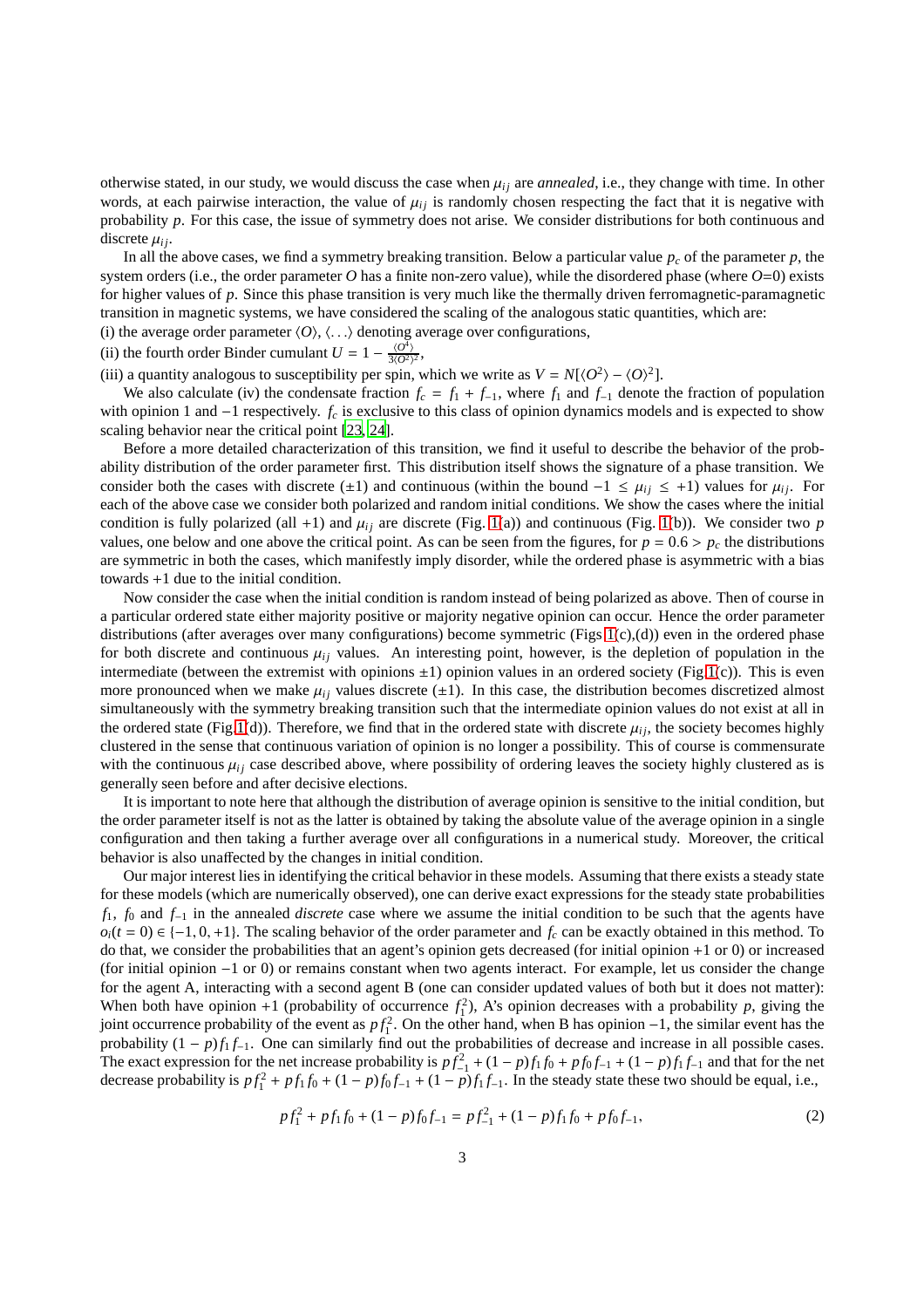otherwise stated, in our study, we would discuss the case when  $\mu_{ij}$  are *annealed*, i.e., they change with time. In other words, at each pairwise interaction, the value of  $\mu_{ij}$  is randomly chosen respecting the fact that it is negative with probability *p*. For this case, the issue of symmetry does not arise. We consider distributions for both continuous and discrete  $\mu_{ij}$ .

In all the above cases, we find a symmetry breaking transition. Below a particular value  $p_c$  of the parameter  $p$ , the system orders (i.e., the order parameter  $O$  has a finite non-zero value), while the disordered phase (where  $O=0$ ) exists for higher values of p. Since this phase transition is very much like the thermally driven ferromagnetic-paramagnetic transition in magnetic systems, we have considered the scaling of the analogous static quantities, which are:

(i) the average order parameter  $\langle O \rangle$ ,  $\langle \ldots \rangle$  denoting average over configurations,

(ii) the fourth order Binder cumulant  $U = 1 - \frac{\langle O^4 \rangle}{3 \langle O^2 \rangle^2}$ ,

(iii) a quantity analogous to susceptibility per spin, which we write as  $V = N[(O^2) - \langle O \rangle^2]$ .

We also calculate (iv) the condensate fraction  $f_c = f_1 + f_{-1}$ , where  $f_1$  and  $f_{-1}$  denote the fraction of population with opinion 1 and −1 respectively. *f<sup>c</sup>* is exclusive to this class of opinion dynamics models and is expected to show scaling behavior near the critical point [\[23](#page-8-22), [24](#page-9-0)].

Before a more detailed characterization of this transition, we find it useful to describe the behavior of the probability distribution of the order parameter first. This distribution itself shows the signature of a phase transition. We consider both the cases with discrete ( $\pm 1$ ) and continuous (within the bound  $-1 \leq \mu_{ij} \leq +1$ ) values for  $\mu_{ij}$ . For each of the above case we consider both polarized and random initial conditions. We show the cases where the initial condition is fully polarized (all +1) and  $\mu_i$  are discrete (Fig. [1\(](#page-3-0)a)) and continuous (Fig. 1(b)). We consider two *p* values, one below and one above the critical point. As can be seen from the figures, for  $p = 0.6 > p_c$  the distributions are symmetric in both the cases, which manifestly imply disorder, while the ordered phase is asymmetric with a bias towards +1 due to the initial condition.

Now consider the case when the initial condition is random instead of being polarized as above. Then of course in a particular ordered state either majority positive or majority negative opinion can occur. Hence the order parameter distributions (after averages over many configurations) become symmetric (Figs [1\(](#page-3-0)c),(d)) even in the ordered phase for both discrete and continuous  $\mu_{ij}$  values. An interesting point, however, is the depletion of population in the intermediate (between the extremist with opinions  $\pm 1$ ) opinion values in an ordered society (Fig[.1\(](#page-3-0)c)). This is even more pronounced when we make  $\mu_{ij}$  values discrete ( $\pm 1$ ). In this case, the distribution becomes discretized almost simultaneously with the symmetry breaking transition such that the intermediate opinion values do not exist at all in the ordered state (Fig[.1\(](#page-3-0)d)). Therefore, we find that in the ordered state with discrete  $\mu_{ij}$ , the society becomes highly clustered in the sense that continuous variation of opinion is no longer a possibility. This of course is commensurate with the continuous  $\mu_{ij}$  case described above, where possibility of ordering leaves the society highly clustered as is generally seen before and after decisive elections.

It is important to note here that although the distribution of average opinion is sensitive to the initial condition, but the order parameter itself is not as the latter is obtained by taking the absolute value of the average opinion in a single configuration and then taking a further average over all configurations in a numerical study. Moreover, the critical behavior is also unaffected by the changes in initial condition.

Our major interest lies in identifying the critical behavior in these models. Assuming that there exists a steady state for these models (which are numerically observed), one can derive exact expressions for the steady state probabilities *f*<sub>1</sub>, *f*<sub>0</sub> and *f*<sub>−1</sub> in the annealed *discrete* case where we assume the initial condition to be such that the agents have  $o_i(t = 0) \in \{-1, 0, +1\}$ . The scaling behavior of the order parameter and  $f_c$  can be exactly obtained in this method. To do that, we consider the probabilities that an agent's opinion gets decreased (for initial opinion +1 or 0) or increased (for initial opinion −1 or 0) or remains constant when two agents interact. For example, let us consider the change for the agent A, interacting with a second agent B (one can consider updated values of both but it does not matter): When both have opinion +1 (probability of occurrence  $f_1^2$ ), A's opinion decreases with a probability *p*, giving the joint occurrence probability of the event as  $pf_1^2$ . On the other hand, when B has opinion  $-1$ , the similar event has the probability  $(1 - p)f_1 f_2$ . One can similarly find out the probabilities of decrease and increase in all possible cases. The exact expression for the net increase probability is  $pf_{-1}^2 + (1-p)f_1f_0 + pf_0f_{-1} + (1-p)f_1f_{-1}$  and that for the net decrease probability is  $pf_1^2 + pf_1f_0 + (1 - p)f_0f_{-1} + (1 - p)f_1f_{-1}$ . In the steady state these two should be equal, i.e.,

$$
pf_1^2 + pf_1f_0 + (1 - p)f_0f_{-1} = pf_{-1}^2 + (1 - p)f_1f_0 + pf_0f_{-1},
$$
\n(2)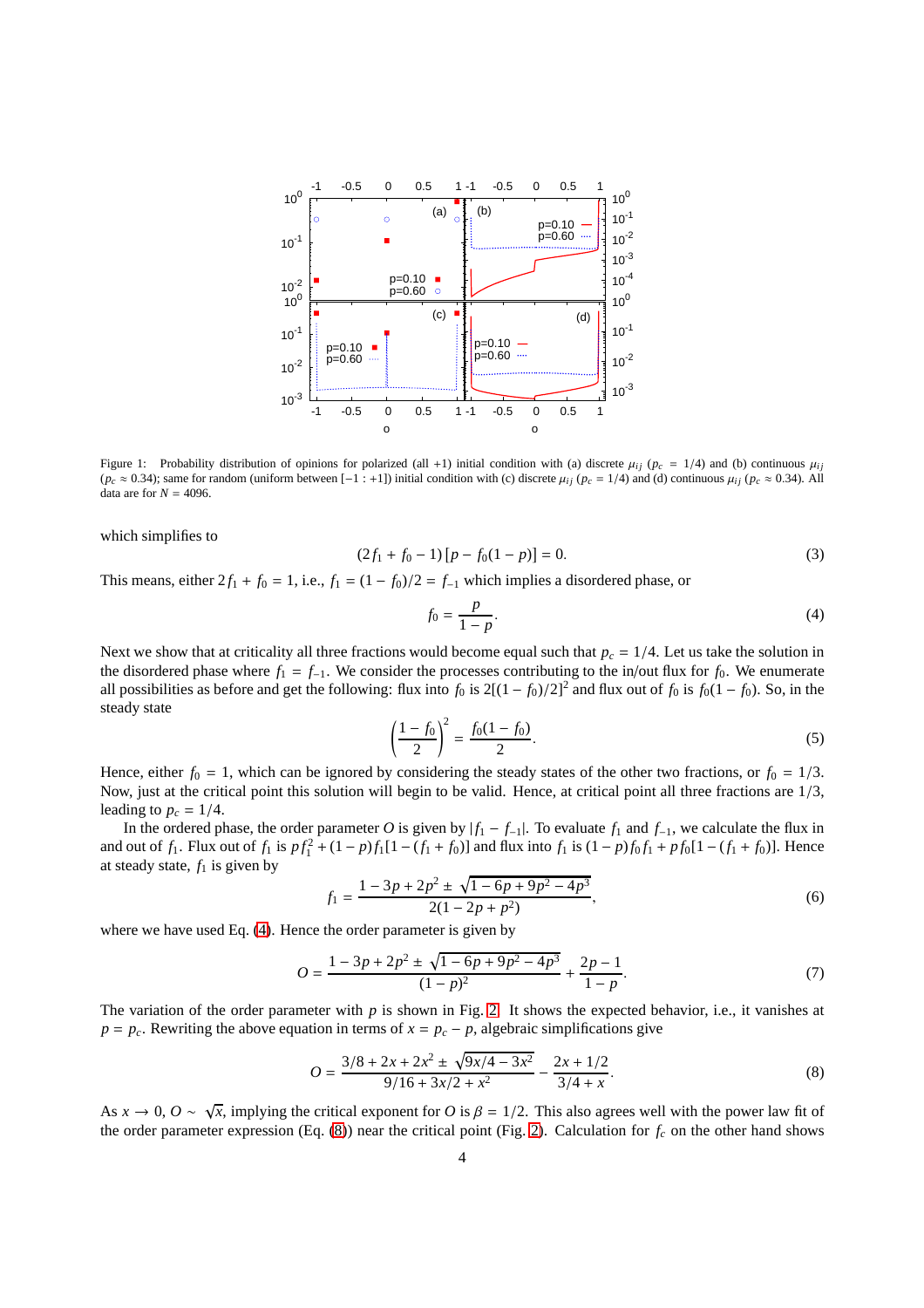

<span id="page-3-0"></span>Figure 1: Probability distribution of opinions for polarized (all +1) initial condition with (a) discrete  $\mu_{ij}$  ( $p_c = 1/4$ ) and (b) continuous  $\mu_{ij}$  $(p_c \approx 0.34)$ ; same for random (uniform between [−1 : +1]) initial condition with (c) discrete  $\mu_{ij}$  ( $p_c = 1/4$ ) and (d) continuous  $\mu_{ij}$  ( $p_c \approx 0.34$ ). All data are for  $N = 4096$ .

which simplifies to

$$
(2f_1 + f_0 - 1)[p - f_0(1 - p)] = 0.
$$
\n(3)

This means, either  $2f_1 + f_0 = 1$ , i.e.,  $f_1 = (1 - f_0)/2 = f_{-1}$  which implies a disordered phase, or

<span id="page-3-1"></span>
$$
f_0 = \frac{p}{1 - p}.\tag{4}
$$

Next we show that at criticality all three fractions would become equal such that  $p_c = 1/4$ . Let us take the solution in the disordered phase where  $f_1 = f_{-1}$ . We consider the processes contributing to the in/out flux for  $f_0$ . We enumerate all possibilities as before and get the following: flux into  $f_0$  is  $2[(1 - f_0)/2]^2$  and flux out of  $f_0$  is  $f_0(1 - f_0)$ . So, in the steady state

$$
\left(\frac{1-f_0}{2}\right)^2 = \frac{f_0(1-f_0)}{2}.\tag{5}
$$

Hence, either  $f_0 = 1$ , which can be ignored by considering the steady states of the other two fractions, or  $f_0 = 1/3$ . Now, just at the critical point this solution will begin to be valid. Hence, at critical point all three fractions are 1/3, leading to  $p_c = 1/4$ .

In the ordered phase, the order parameter *O* is given by  $|f_1 - f_{-1}|$ . To evaluate  $f_1$  and  $f_{-1}$ , we calculate the flux in and out of  $f_1$ . Flux out of  $f_1$  is  $pf_1^2 + (1-p)f_1[1 - (f_1 + f_0)]$  and flux into  $f_1$  is  $(1-p)f_0f_1 + pf_0[1 - (f_1 + f_0)]$ . Hence at steady state,  $f_1$  is given by

$$
f_1 = \frac{1 - 3p + 2p^2 \pm \sqrt{1 - 6p + 9p^2 - 4p^3}}{2(1 - 2p + p^2)},
$$
\n(6)

where we have used Eq. [\(4\)](#page-3-1). Hence the order parameter is given by

$$
O = \frac{1 - 3p + 2p^2 \pm \sqrt{1 - 6p + 9p^2 - 4p^3}}{(1 - p)^2} + \frac{2p - 1}{1 - p}.
$$
 (7)

The variation of the order parameter with  $p$  is shown in Fig. [2.](#page-4-0) It shows the expected behavior, i.e., it vanishes at  $p = p_c$ . Rewriting the above equation in terms of  $x = p_c - p$ , algebraic simplifications give

<span id="page-3-2"></span>
$$
O = \frac{3/8 + 2x + 2x^2 \pm \sqrt{9x/4 - 3x^2}}{9/16 + 3x/2 + x^2} - \frac{2x + 1/2}{3/4 + x}.
$$
 (8)

As  $x \to 0$ ,  $O \sim \sqrt{x}$ , implying the critical exponent for *O* is  $\beta = 1/2$ . This also agrees well with the power law fit of the order parameter expression (Eq.  $(8)$ ) near the critical point (Fig. [2\)](#page-4-0). Calculation for  $f_c$  on the other hand shows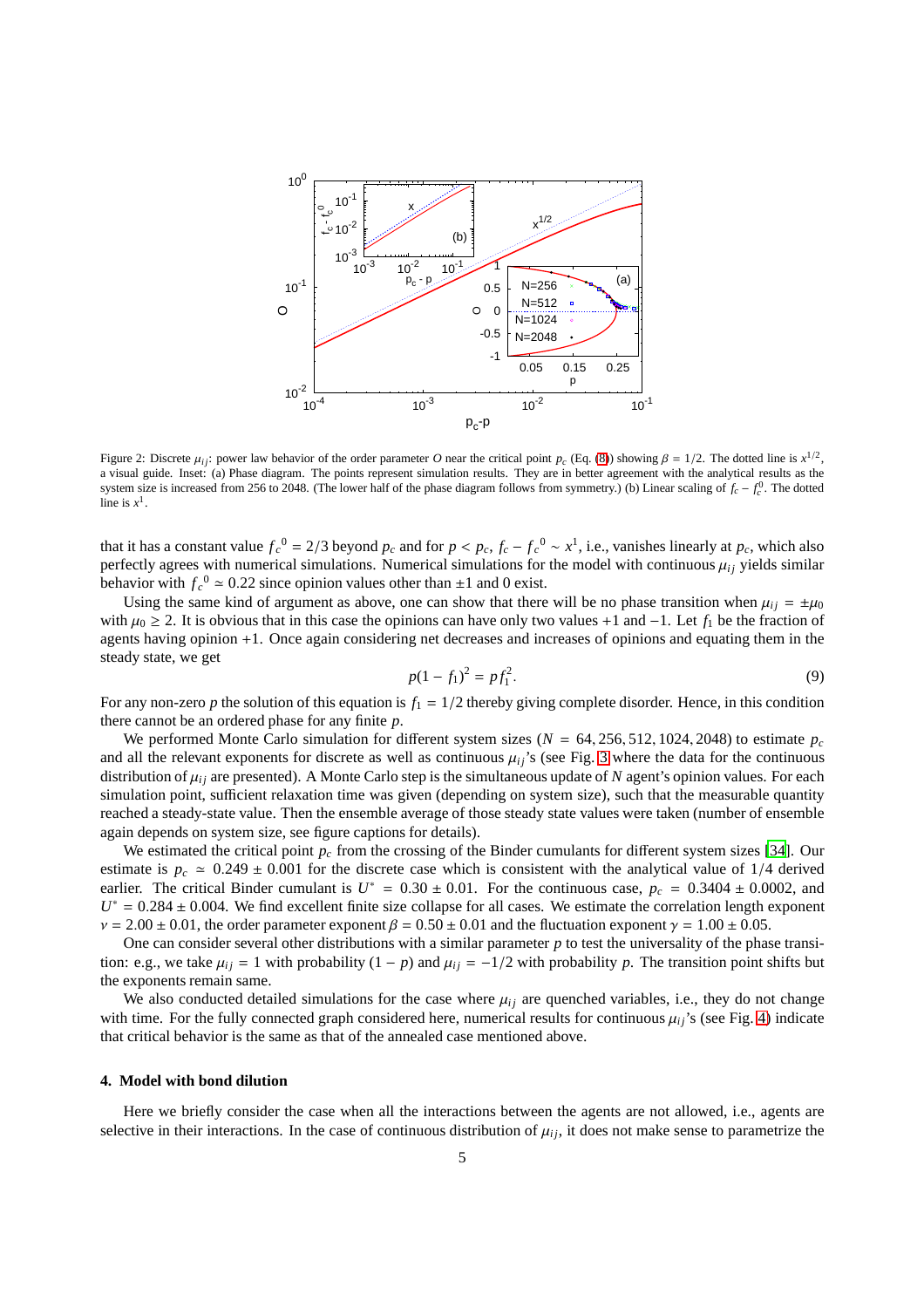

<span id="page-4-0"></span>Figure 2: Discrete  $\mu_{ij}$ : power law behavior of the order parameter *O* near the critical point  $p_c$  (Eq. [\(8\)](#page-3-2)) showing  $\beta = 1/2$ . The dotted line is  $x^{1/2}$ , a visual guide. Inset: (a) Phase diagram. The points represent simulation results. They are in better agreement with the analytical results as the system size is increased from 256 to 2048. (The lower half of the phase diagram follows from symmetry.) (b) Linear scaling of  $f_c - f_c^0$ . The dotted line is  $x^1$ .

that it has a constant value  $f_c^0 = 2/3$  beyond  $p_c$  and for  $p < p_c$ ,  $f_c - f_c^0 \sim x^1$ , i.e., vanishes linearly at  $p_c$ , which also perfectly agrees with numerical simulations. Numerical simulations for the model with continuous  $\mu_{ij}$  yields similar behavior with  $f_c^0 \approx 0.22$  since opinion values other than  $\pm 1$  and 0 exist.

Using the same kind of argument as above, one can show that there will be no phase transition when  $\mu_{ij} = \pm \mu_0$ with  $\mu_0 \ge 2$ . It is obvious that in this case the opinions can have only two values +1 and −1. Let  $f_1$  be the fraction of agents having opinion +1. Once again considering net decreases and increases of opinions and equating them in the steady state, we get

<span id="page-4-1"></span>
$$
p(1 - f_1)^2 = pf_1^2.
$$
 (9)

For any non-zero *p* the solution of this equation is  $f_1 = 1/2$  thereby giving complete disorder. Hence, in this condition there cannot be an ordered phase for any finite *p*.

We performed Monte Carlo simulation for different system sizes ( $N = 64, 256, 512, 1024, 2048$ ) to estimate  $p_c$ and all the relevant exponents for discrete as well as continuous  $\mu_{ij}$ 's (see Fig. [3](#page-5-0) where the data for the continuous distribution of  $\mu_{ij}$  are presented). A Monte Carlo step is the simultaneous update of *N* agent's opinion values. For each simulation point, sufficient relaxation time was given (depending on system size), such that the measurable quantity reached a steady-state value. Then the ensemble average of those steady state values were taken (number of ensemble again depends on system size, see figure captions for details).

We estimated the critical point  $p_c$  from the crossing of the Binder cumulants for different system sizes [\[34\]](#page-9-10). Our estimate is  $p_c \approx 0.249 \pm 0.001$  for the discrete case which is consistent with the analytical value of 1/4 derived earlier. The critical Binder cumulant is  $U^* = 0.30 \pm 0.01$ . For the continuous case,  $p_c = 0.3404 \pm 0.0002$ , and  $U^* = 0.284 \pm 0.004$ . We find excellent finite size collapse for all cases. We estimate the correlation length exponent  $v = 2.00 \pm 0.01$ , the order parameter exponent  $\beta = 0.50 \pm 0.01$  and the fluctuation exponent  $\gamma = 1.00 \pm 0.05$ .

One can consider several other distributions with a similar parameter  $p$  to test the universality of the phase transition: e.g., we take  $\mu_{ij} = 1$  with probability  $(1 - p)$  and  $\mu_{ij} = -1/2$  with probability p. The transition point shifts but the exponents remain same.

We also conducted detailed simulations for the case where  $\mu_{ij}$  are quenched variables, i.e., they do not change with time. For the fully connected graph considered here, numerical results for continuous  $\mu_{ij}$ 's (see Fig. [4\)](#page-6-0) indicate that critical behavior is the same as that of the annealed case mentioned above.

### **4. Model with bond dilution**

Here we briefly consider the case when all the interactions between the agents are not allowed, i.e., agents are selective in their interactions. In the case of continuous distribution of  $\mu_{ij}$ , it does not make sense to parametrize the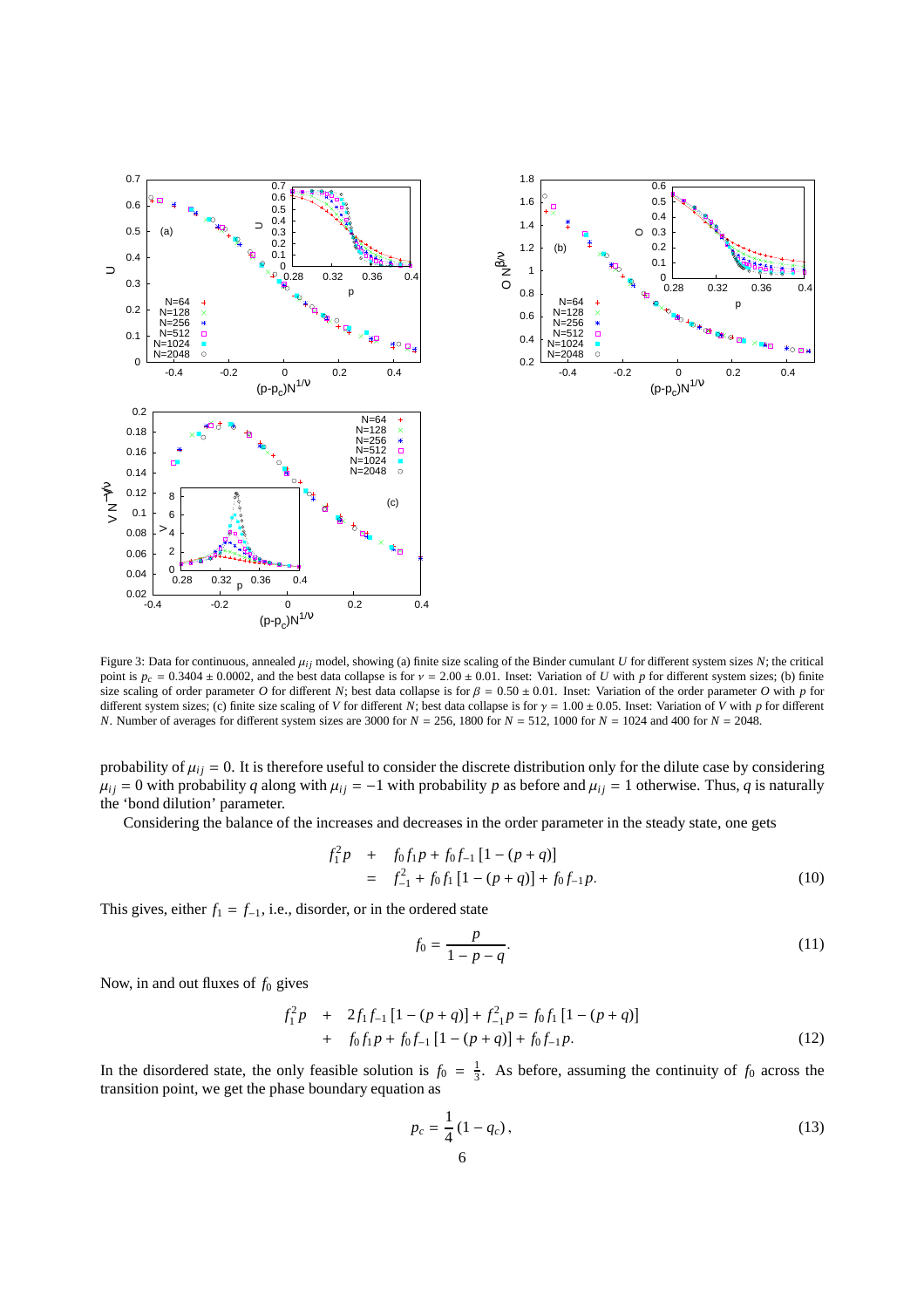



<span id="page-5-0"></span>Figure 3: Data for continuous, annealed  $\mu_{ij}$  model, showing (a) finite size scaling of the Binder cumulant *U* for different system sizes *N*; the critical point is  $p_c = 0.3404 \pm 0.0002$ , and the best data collapse is for  $v = 2.00 \pm 0.01$ . Inset: Variation of *U* with *p* for different system sizes; (b) finite size scaling of order parameter *O* for different *N*; best data collapse is for  $\beta = 0.50 \pm 0.01$ . Inset: Variation of the order parameter *O* with *p* for different system sizes; (c) finite size scaling of *V* for different *N*; best data collapse is for  $\gamma = 1.00 \pm 0.05$ . Inset: Variation of *V* with *p* for different *N*. Number of averages for different system sizes are 3000 for *N* = 256, 1800 for *N* = 512, 1000 for *N* = 1024 and 400 for *N* = 2048.

probability of  $\mu_{ij} = 0$ . It is therefore useful to consider the discrete distribution only for the dilute case by considering  $\mu_{ij} = 0$  with probability *q* along with  $\mu_{ij} = -1$  with probability *p* as before and  $\mu_{ij} = 1$  otherwise. Thus, *q* is naturally the 'bond dilution' parameter.

Considering the balance of the increases and decreases in the order parameter in the steady state, one gets

$$
f_1^2 p + f_0 f_1 p + f_0 f_{-1} [1 - (p + q)]
$$
  
= 
$$
f_{-1}^2 + f_0 f_1 [1 - (p + q)] + f_0 f_{-1} p.
$$
 (10)

This gives, either  $f_1 = f_{-1}$ , i.e., disorder, or in the ordered state

$$
f_0 = \frac{p}{1 - p - q}.\tag{11}
$$

Now, in and out fluxes of  $f_0$  gives

$$
f_1^2 p + 2f_1 f_{-1} [1 - (p+q)] + f_{-1}^2 p = f_0 f_1 [1 - (p+q)] + f_0 f_1 p + f_0 f_{-1} [1 - (p+q)] + f_0 f_{-1} p.
$$
 (12)

In the disordered state, the only feasible solution is  $f_0 = \frac{1}{3}$ . As before, assuming the continuity of  $f_0$  across the transition point, we get the phase boundary equation as

$$
p_c = \frac{1}{4} (1 - q_c),
$$
 (13)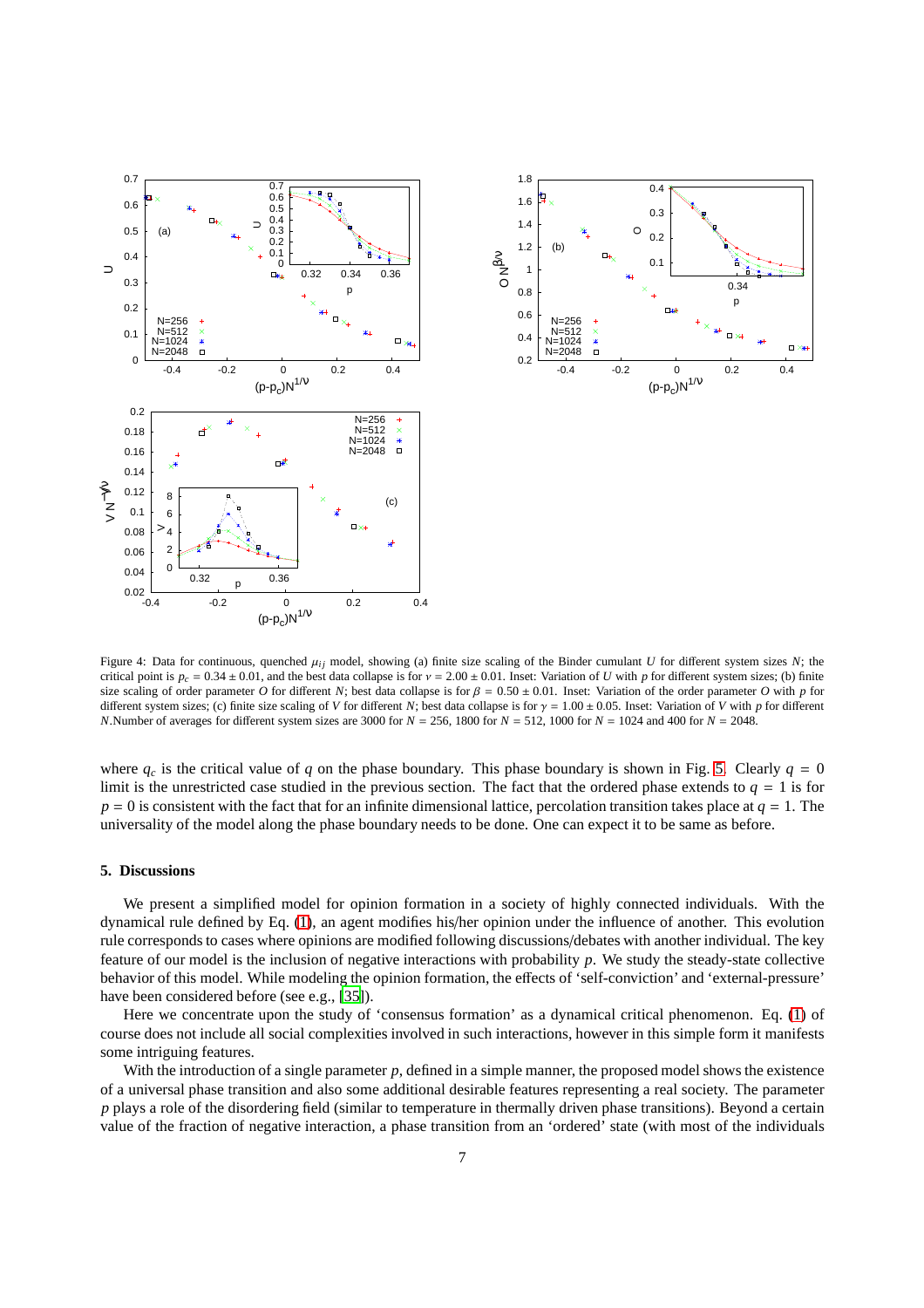



<span id="page-6-0"></span>Figure 4: Data for continuous, quenched  $\mu_{ij}$  model, showing (a) finite size scaling of the Binder cumulant *U* for different system sizes *N*; the critical point is  $p_c = 0.34 \pm 0.01$ , and the best data collapse is for  $v = 2.00 \pm 0.01$ . Inset: Variation of *U* with *p* for different system sizes; (b) finite size scaling of order parameter *O* for different *N*; best data collapse is for  $\beta = 0.50 \pm 0.01$ . Inset: Variation of the order parameter *O* with *p* for different system sizes; (c) finite size scaling of *V* for different *N*; best data collapse is for  $\gamma = 1.00 \pm 0.05$ . Inset: Variation of *V* with *p* for different *N*.Number of averages for different system sizes are 3000 for *N* = 256, 1800 for *N* = 512, 1000 for *N* = 1024 and 400 for *N* = 2048.

where  $q_c$  is the critical value of *q* on the phase boundary. This phase boundary is shown in Fig. [5.](#page-7-0) Clearly  $q = 0$ limit is the unrestricted case studied in the previous section. The fact that the ordered phase extends to *q* = 1 is for  $p = 0$  is consistent with the fact that for an infinite dimensional lattice, percolation transition takes place at  $q = 1$ . The universality of the model along the phase boundary needs to be done. One can expect it to be same as before.

#### **5. Discussions**

We present a simplified model for opinion formation in a society of highly connected individuals. With the dynamical rule defined by Eq. [\(1\)](#page-1-0), an agent modifies his/her opinion under the influence of another. This evolution rule corresponds to cases where opinions are modified following discussions/debates with another individual. The key feature of our model is the inclusion of negative interactions with probability *p*. We study the steady-state collective behavior of this model. While modeling the opinion formation, the effects of 'self-conviction' and 'external-pressure' have been considered before (see e.g., [\[35\]](#page-9-11)).

Here we concentrate upon the study of 'consensus formation' as a dynamical critical phenomenon. Eq. [\(1\)](#page-1-0) of course does not include all social complexities involved in such interactions, however in this simple form it manifests some intriguing features.

With the introduction of a single parameter p, defined in a simple manner, the proposed model shows the existence of a universal phase transition and also some additional desirable features representing a real society. The parameter *p* plays a role of the disordering field (similar to temperature in thermally driven phase transitions). Beyond a certain value of the fraction of negative interaction, a phase transition from an 'ordered' state (with most of the individuals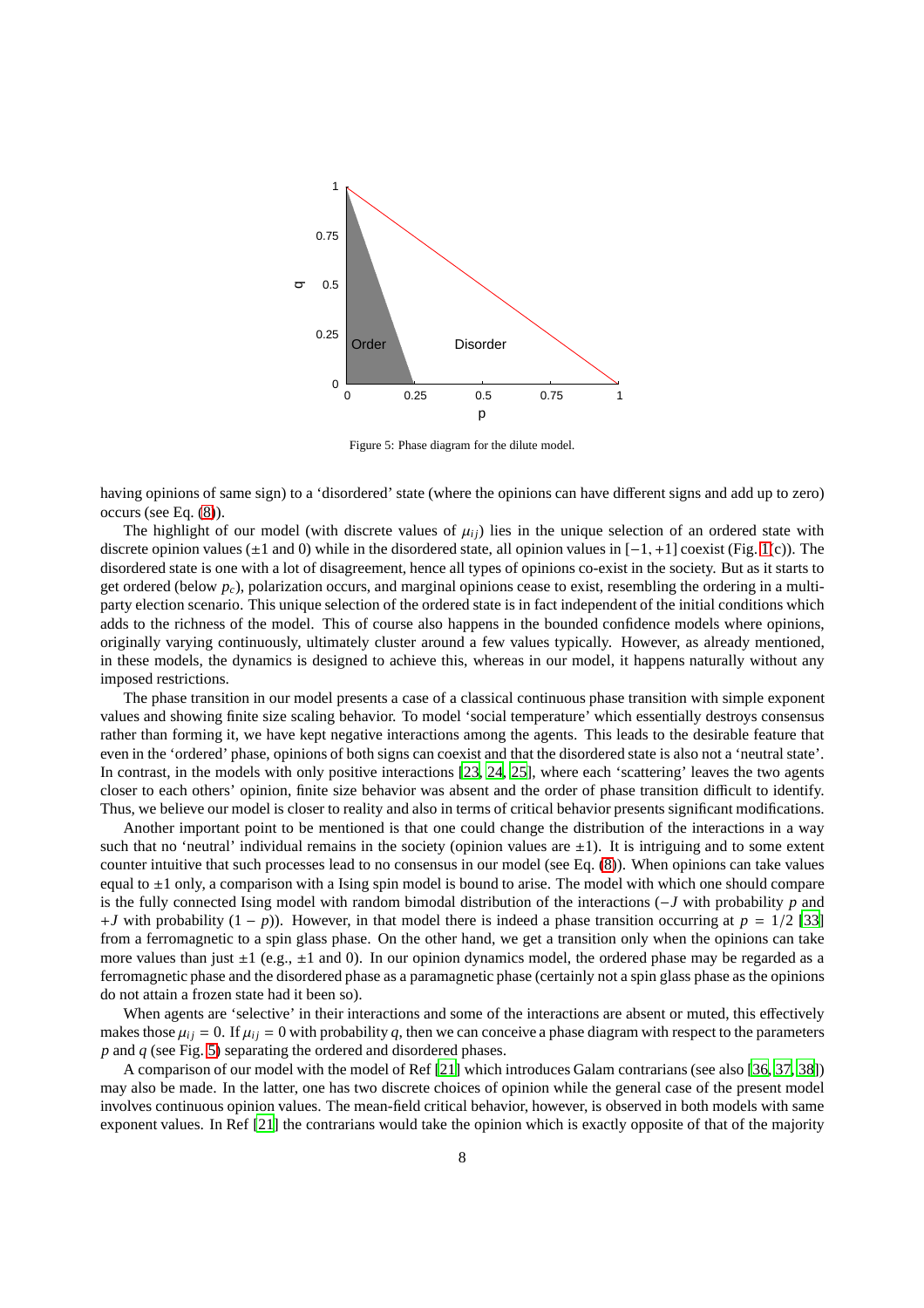

<span id="page-7-0"></span>Figure 5: Phase diagram for the dilute model.

having opinions of same sign) to a 'disordered' state (where the opinions can have different signs and add up to zero) occurs (see Eq. [\(8\)](#page-3-2)).

The highlight of our model (with discrete values of  $\mu_{ij}$ ) lies in the unique selection of an ordered state with discrete opinion values (±1 and 0) while in the disordered state, all opinion values in [−1, +1] coexist (Fig. [1\(](#page-3-0)c)). The disordered state is one with a lot of disagreement, hence all types of opinions co-exist in the society. But as it starts to get ordered (below *pc*), polarization occurs, and marginal opinions cease to exist, resembling the ordering in a multiparty election scenario. This unique selection of the ordered state is in fact independent of the initial conditions which adds to the richness of the model. This of course also happens in the bounded confidence models where opinions, originally varying continuously, ultimately cluster around a few values typically. However, as already mentioned, in these models, the dynamics is designed to achieve this, whereas in our model, it happens naturally without any imposed restrictions.

The phase transition in our model presents a case of a classical continuous phase transition with simple exponent values and showing finite size scaling behavior. To model 'social temperature' which essentially destroys consensus rather than forming it, we have kept negative interactions among the agents. This leads to the desirable feature that even in the 'ordered' phase, opinions of both signs can coexist and that the disordered state is also not a 'neutral state'. In contrast, in the models with only positive interactions [\[23,](#page-8-22) [24,](#page-9-0) [25](#page-9-1)], where each 'scattering' leaves the two agents closer to each others' opinion, finite size behavior was absent and the order of phase transition difficult to identify. Thus, we believe our model is closer to reality and also in terms of critical behavior presents significant modifications.

Another important point to be mentioned is that one could change the distribution of the interactions in a way such that no 'neutral' individual remains in the society (opinion values are  $\pm 1$ ). It is intriguing and to some extent counter intuitive that such processes lead to no consensus in our model (see Eq. [\(8\)](#page-3-2)). When opinions can take values equal to  $\pm 1$  only, a comparison with a Ising spin model is bound to arise. The model with which one should compare is the fully connected Ising model with random bimodal distribution of the interactions (−*J* with probability *p* and +*J* with probability  $(1 - p)$ ). However, in that model there is indeed a phase transition occurring at  $p = 1/2$  [\[33\]](#page-9-9) from a ferromagnetic to a spin glass phase. On the other hand, we get a transition only when the opinions can take more values than just  $\pm 1$  (e.g.,  $\pm 1$  and 0). In our opinion dynamics model, the ordered phase may be regarded as a ferromagnetic phase and the disordered phase as a paramagnetic phase (certainly not a spin glass phase as the opinions do not attain a frozen state had it been so).

When agents are 'selective' in their interactions and some of the interactions are absent or muted, this effectively makes those  $\mu_{ij} = 0$ . If  $\mu_{ij} = 0$  with probability q, then we can conceive a phase diagram with respect to the parameters *p* and *q* (see Fig. [5\)](#page-7-0) separating the ordered and disordered phases.

A comparison of our model with the model of Ref [\[21](#page-8-20)] which introduces Galam contrarians (see also [\[36,](#page-9-12) [37,](#page-9-13) [38](#page-9-14)]) may also be made. In the latter, one has two discrete choices of opinion while the general case of the present model involves continuous opinion values. The mean-field critical behavior, however, is observed in both models with same exponent values. In Ref [\[21](#page-8-20)] the contrarians would take the opinion which is exactly opposite of that of the majority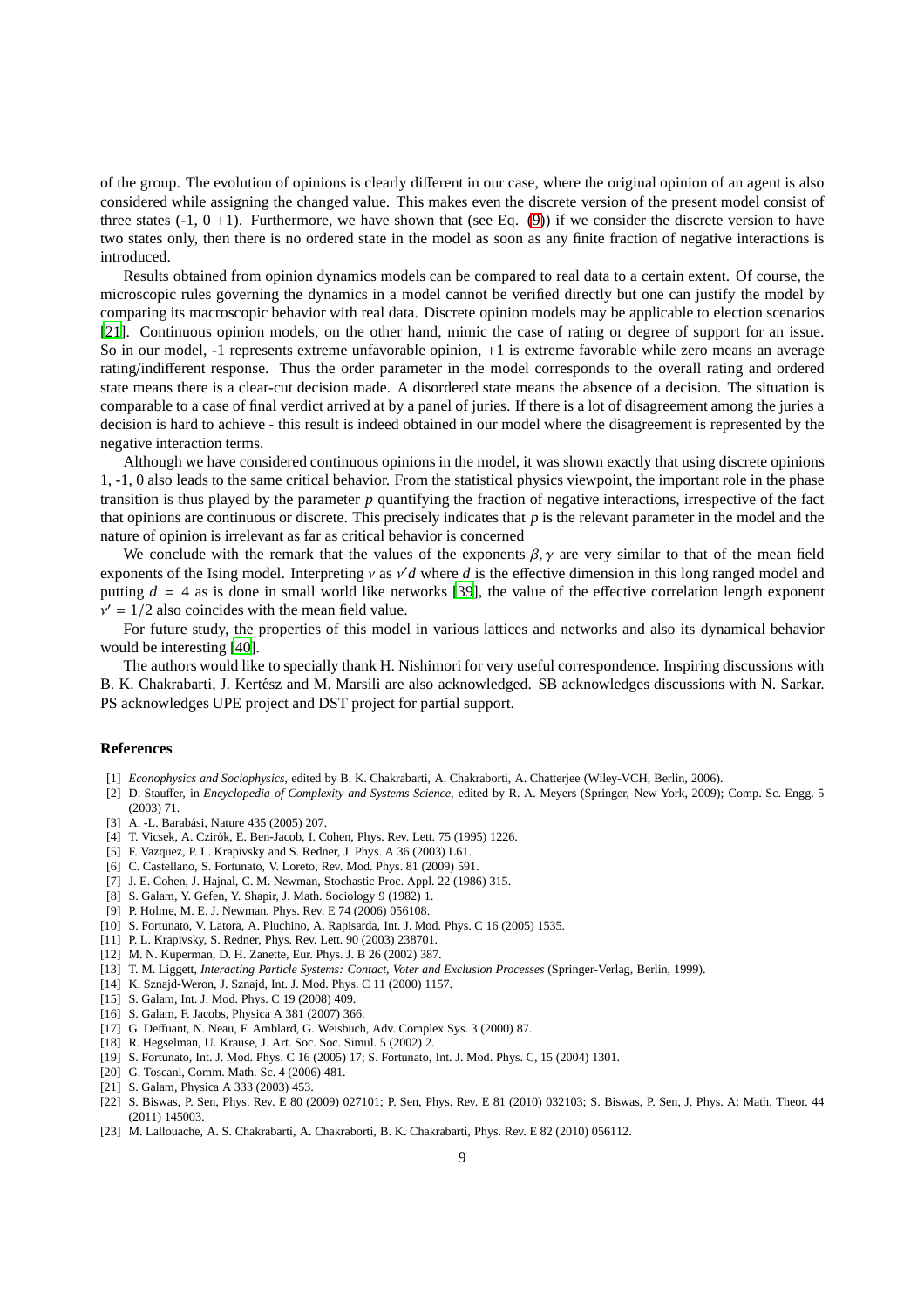of the group. The evolution of opinions is clearly different in our case, where the original opinion of an agent is also considered while assigning the changed value. This makes even the discrete version of the present model consist of three states  $(-1, 0, 1)$ . Furthermore, we have shown that (see Eq. [\(9\)](#page-4-1)) if we consider the discrete version to have two states only, then there is no ordered state in the model as soon as any finite fraction of negative interactions is introduced.

Results obtained from opinion dynamics models can be compared to real data to a certain extent. Of course, the microscopic rules governing the dynamics in a model cannot be verified directly but one can justify the model by comparing its macroscopic behavior with real data. Discrete opinion models may be applicable to election scenarios [\[21\]](#page-8-20). Continuous opinion models, on the other hand, mimic the case of rating or degree of support for an issue. So in our model, -1 represents extreme unfavorable opinion, +1 is extreme favorable while zero means an average rating/indifferent response. Thus the order parameter in the model corresponds to the overall rating and ordered state means there is a clear-cut decision made. A disordered state means the absence of a decision. The situation is comparable to a case of final verdict arrived at by a panel of juries. If there is a lot of disagreement among the juries a decision is hard to achieve - this result is indeed obtained in our model where the disagreement is represented by the negative interaction terms.

Although we have considered continuous opinions in the model, it was shown exactly that using discrete opinions 1, -1, 0 also leads to the same critical behavior. From the statistical physics viewpoint, the important role in the phase transition is thus played by the parameter *p* quantifying the fraction of negative interactions, irrespective of the fact that opinions are continuous or discrete. This precisely indicates that *p* is the relevant parameter in the model and the nature of opinion is irrelevant as far as critical behavior is concerned

We conclude with the remark that the values of the exponents  $\beta$ ,  $\gamma$  are very similar to that of the mean field exponents of the Ising model. Interpreting ν as ν ′*d* where *d* is the effective dimension in this long ranged model and putting  $d = 4$  as is done in small world like networks [\[39\]](#page-9-15), the value of the effective correlation length exponent  $v' = 1/2$  also coincides with the mean field value.

For future study, the properties of this model in various lattices and networks and also its dynamical behavior would be interesting [\[40\]](#page-9-16).

The authors would like to specially thank H. Nishimori for very useful correspondence. Inspiring discussions with B. K. Chakrabarti, J. Kertész and M. Marsili are also acknowledged. SB acknowledges discussions with N. Sarkar. PS acknowledges UPE project and DST project for partial support.

#### **References**

- <span id="page-8-0"></span>[1] *Econophysics and Sociophysics*, edited by B. K. Chakrabarti, A. Chakraborti, A. Chatterjee (Wiley-VCH, Berlin, 2006).
- <span id="page-8-1"></span>[2] D. Stauffer, in *Encyclopedia of Complexity and Systems Science*, edited by R. A. Meyers (Springer, New York, 2009); Comp. Sc. Engg. 5 (2003) 71.
- <span id="page-8-2"></span>[3] A. -L. Barabási, Nature 435 (2005) 207.
- <span id="page-8-3"></span>[4] T. Vicsek, A. Czirók, E. Ben-Jacob, I. Cohen, Phys. Rev. Lett. 75 (1995) 1226.
- <span id="page-8-4"></span>[5] F. Vazquez, P. L. Krapivsky and S. Redner, J. Phys. A 36 (2003) L61.
- <span id="page-8-5"></span>[6] C. Castellano, S. Fortunato, V. Loreto, Rev. Mod. Phys. 81 (2009) 591.
- <span id="page-8-6"></span>[7] J. E. Cohen, J. Hajnal, C. M. Newman, Stochastic Proc. Appl. 22 (1986) 315.
- <span id="page-8-7"></span>[8] S. Galam, Y. Gefen, Y. Shapir, J. Math. Sociology 9 (1982) 1.
- <span id="page-8-8"></span>[9] P. Holme, M. E. J. Newman, Phys. Rev. E 74 (2006) 056108.
- <span id="page-8-9"></span>[10] S. Fortunato, V. Latora, A. Pluchino, A. Rapisarda, Int. J. Mod. Phys. C 16 (2005) 1535.
- <span id="page-8-10"></span>[11] P. L. Krapivsky, S. Redner, Phys. Rev. Lett. 90 (2003) 238701.
- <span id="page-8-11"></span>[12] M. N. Kuperman, D. H. Zanette, Eur. Phys. J. B 26 (2002) 387.
- <span id="page-8-12"></span>[13] T. M. Liggett, *Interacting Particle Systems: Contact, Voter and Exclusion Processes* (Springer-Verlag, Berlin, 1999).
- <span id="page-8-13"></span>[14] K. Sznajd-Weron, J. Sznajd, Int. J. Mod. Phys. C 11 (2000) 1157.
- <span id="page-8-14"></span>[15] S. Galam, Int. J. Mod. Phys. C 19 (2008) 409.
- <span id="page-8-15"></span>[16] S. Galam, F. Jacobs, Physica A 381 (2007) 366.
- <span id="page-8-16"></span>[17] G. Deffuant, N. Neau, F. Amblard, G. Weisbuch, Adv. Complex Sys. 3 (2000) 87.
- <span id="page-8-17"></span>[18] R. Hegselman, U. Krause, J. Art. Soc. Soc. Simul. 5 (2002) 2.
- <span id="page-8-18"></span>[19] S. Fortunato, Int. J. Mod. Phys. C 16 (2005) 17; S. Fortunato, Int. J. Mod. Phys. C, 15 (2004) 1301.
- <span id="page-8-19"></span>[20] G. Toscani, Comm. Math. Sc. 4 (2006) 481.
- <span id="page-8-20"></span>[21] S. Galam, Physica A 333 (2003) 453.
- <span id="page-8-21"></span>[22] S. Biswas, P. Sen, Phys. Rev. E 80 (2009) 027101; P. Sen, Phys. Rev. E 81 (2010) 032103; S. Biswas, P. Sen, J. Phys. A: Math. Theor. 44 (2011) 145003.
- <span id="page-8-22"></span>[23] M. Lallouache, A. S. Chakrabarti, A. Chakraborti, B. K. Chakrabarti, Phys. Rev. E 82 (2010) 056112.